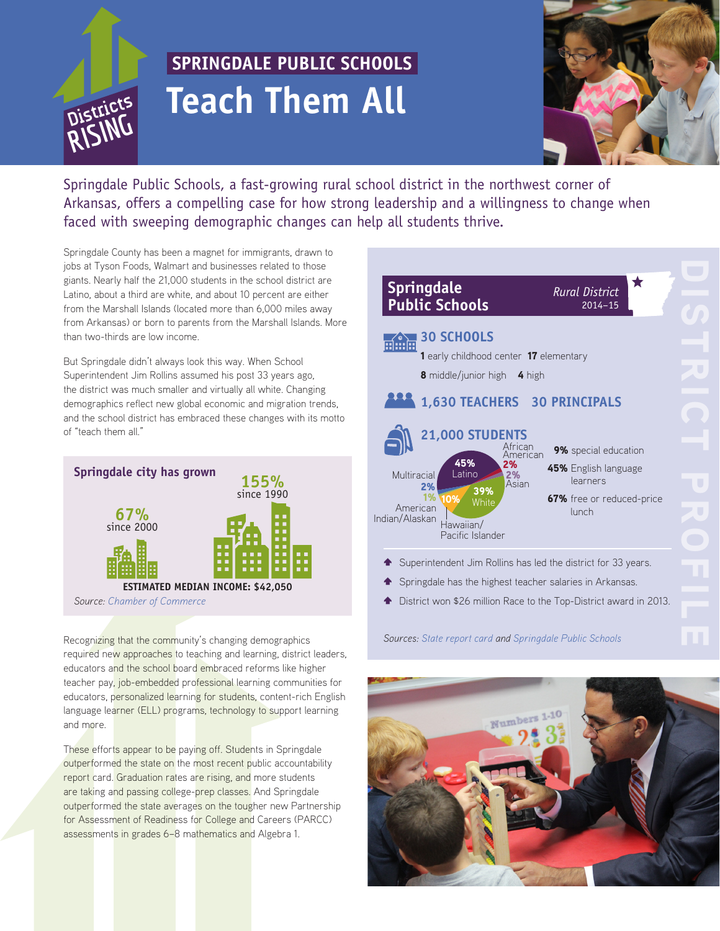

# **SPRINGDALE PUBLIC SCHOOLS Teach Them All**



Springdale Public Schools, a fast-growing rural school district in the northwest corner of Arkansas, offers a compelling case for how strong leadership and a willingness to change when faced with sweeping demographic changes can help all students thrive.

Springdale County has been a magnet for immigrants, drawn to jobs at Tyson Foods, Walmart and businesses related to those giants. Nearly half the 21,000 students in the school district are Latino, about a third are white, and about 10 percent are either from the Marshall Islands (located more than 6,000 miles away from Arkansas) or born to parents from the Marshall Islands. More than two-thirds are low income.

But Springdale didn't always look this way. When School Superintendent Jim Rollins assumed his post 33 years ago, the district was much smaller and virtually all white. Changing demographics reflect new global economic and migration trends, and the school district has embraced these changes with its motto of "teach them all."



Recognizing that the community's changing demographics required new approaches to teaching and learning, district leaders, educators and the school board embraced reforms like higher teacher pay, job-embedded professional learning communities for educators, personalized learning for students, content-rich English language learner (ELL) programs, technology to support learning and more.

These efforts appear to be paying off. Students in Springdale outperformed the state on the most recent public accountability report card. Graduation rates are rising, and more students are taking and passing college-prep classes. And Springdale outperformed the state averages on the tougher new Partnership for Assessment of Readiness for College and Careers (PARCC) assessments in grades 6–8 mathematics and Algebra 1.

| <b>Springdale</b><br><b>Public Schools</b>                                                                                                                          | <b>Rural District</b><br>$2014 - 15$                                                           |  |
|---------------------------------------------------------------------------------------------------------------------------------------------------------------------|------------------------------------------------------------------------------------------------|--|
| <b>30 SCHOOLS</b><br>1 early childhood center 17 elementary<br><b>8</b> middle/junior high<br>4 high                                                                |                                                                                                |  |
| 1,630 TEACHERS 30 PRINCIPALS<br><b>21,000 STUDENTS</b>                                                                                                              |                                                                                                |  |
| African<br>American<br>45%<br>2%<br>Latino<br>Multiracial<br>2%<br>Asian<br>2%<br>39%<br>1%<br>White<br>American<br>Indian/Alaskan<br>Hawaiian/<br>Pacific Islander | 9% special education<br>45% English language<br>learners<br>67% free or reduced-price<br>lunch |  |
| Superintendent Jim Rollins has led the district for 33 years.<br>Springdale has the highest teacher salaries in Arkansas.                                           | District won \$26 million Race to the Top-District award in 2013.                              |  |
| Sources: State report card and Springdale Public Schools                                                                                                            |                                                                                                |  |

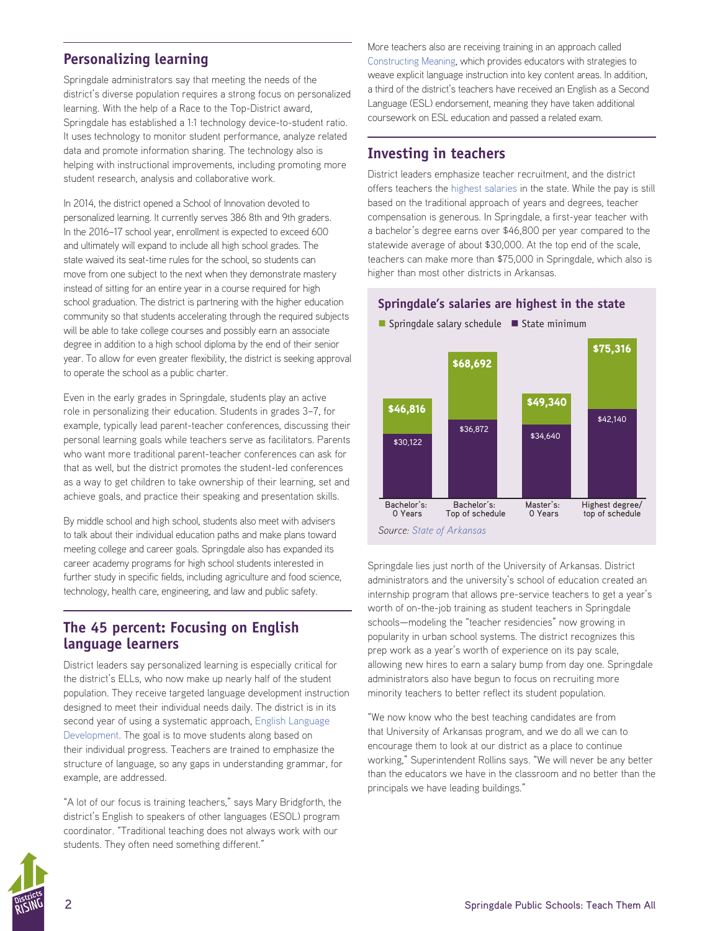## **Personalizing learning**

Springdale administrators say that meeting the needs of the district's diverse population requires a strong focus on personalized learning. With the help of a Race to the Top-District award, Springdale has established a 1:1 technology device-to-student ratio. It uses technology to monitor student performance, analyze related data and promote information sharing. The technology also is helping with instructional improvements, including promoting more student research, analysis and collaborative work.

In 2014, the district opened a School of Innovation devoted to personalized learning. It currently serves 386 8th and 9th graders. In the 2016–17 school year, enrollment is expected to exceed 600 and ultimately will expand to include all high school grades. The state waived its seat-time rules for the school, so students can move from one subject to the next when they demonstrate mastery instead of sitting for an entire year in a course required for high school graduation. The district is partnering with the higher education community so that students accelerating through the required subjects will be able to take college courses and possibly earn an associate degree in addition to a high school diploma by the end of their senior year. To allow for even greater flexibility, the district is seeking approval to operate the school as a public charter.

Even in the early grades in Springdale, students play an active role in personalizing their education. Students in grades 3–7, for example, typically lead parent-teacher conferences, discussing their personal learning goals while teachers serve as facilitators. Parents who want more traditional parent-teacher conferences can ask for that as well, but the district promotes the student-led conferences as a way to get children to take ownership of their learning, set and achieve goals, and practice their speaking and presentation skills.

By middle school and high school, students also meet with advisers to talk about their individual education paths and make plans toward meeting college and career goals. Springdale also has expanded its career academy programs for high school students interested in further study in specific fields, including agriculture and food science, technology, health care, engineering, and law and public safety.

### **The 45 percent: Focusing on English language learners**

District leaders say personalized learning is especially critical for the district's ELLs, who now make up nearly half of the student population. They receive targeted language development instruction designed to meet their individual needs daily. The district is in its second year of using a systematic approach, [English Language](http://syseld.elachieve.org/)  [Development](http://syseld.elachieve.org/). The goal is to move students along based on their individual progress. Teachers are trained to emphasize the structure of language, so any gaps in understanding grammar, for example, are addressed.

"A lot of our focus is training teachers," says Mary Bridgforth, the district's English to speakers of other languages (ESOL) program coordinator. "Traditional teaching does not always work with our students. They often need something different."

More teachers also are receiving training in an approach called [Constructing Meaning,](http://cm.elachieve.org/) which provides educators with strategies to weave explicit language instruction into key content areas. In addition, a third of the district's teachers have received an English as a Second Language (ESL) endorsement, meaning they have taken additional coursework on ESL education and passed a related exam.

### **Investing in teachers**

District leaders emphasize teacher recruitment, and the district offers teachers the [highest salaries](http://www.arkansased.gov/public/userfiles/Fiscal_and_Admin_Services/Publication%20and%20reports/Salary%20Reports/Teacher_Salary_Schedule_2015-2016.pdf) in the state. While the pay is still based on the traditional approach of years and degrees, teacher compensation is generous. In Springdale, a first-year teacher with a bachelor's degree earns over \$46,800 per year compared to the statewide average of about \$30,000. At the top end of the scale, teachers can make more than \$75,000 in Springdale, which also is higher than most other districts in Arkansas.

#### **Springdale's salaries are highest in the state**



Springdale lies just north of the University of Arkansas. District administrators and the university's school of education created an internship program that allows pre-service teachers to get a year's worth of on-the-job training as student teachers in Springdale schools—modeling the "teacher residencies" now growing in popularity in urban school systems. The district recognizes this prep work as a year's worth of experience on its pay scale, allowing new hires to earn a salary bump from day one. Springdale administrators also have begun to focus on recruiting more minority teachers to better reflect its student population.

"We now know who the best teaching candidates are from that University of Arkansas program, and we do all we can to encourage them to look at our district as a place to continue working," Superintendent Rollins says. "We will never be any better than the educators we have in the classroom and no better than the principals we have leading buildings."

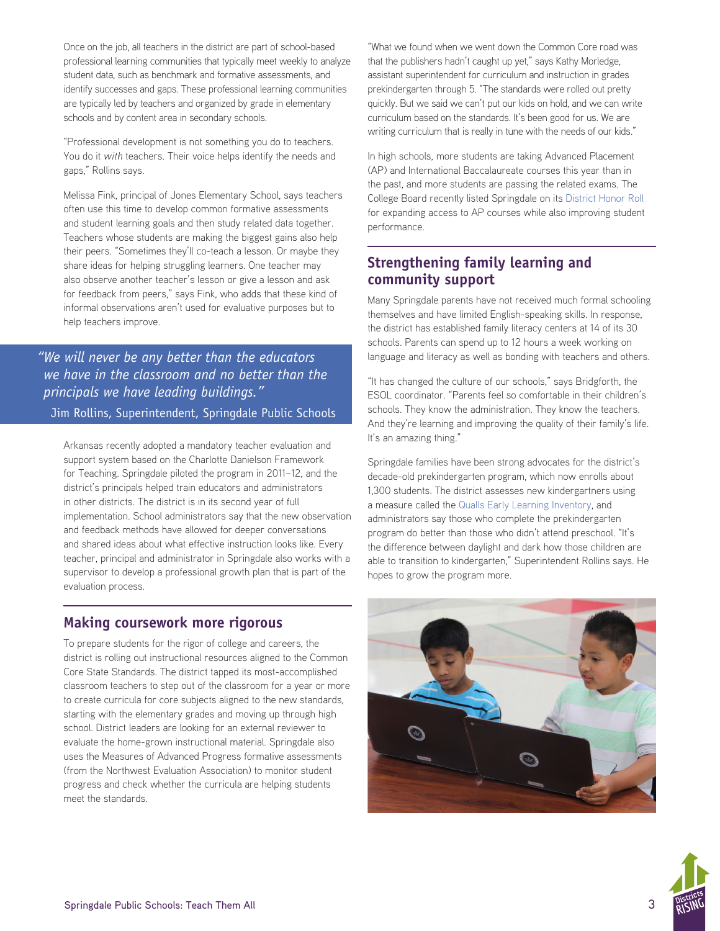Once on the job, all teachers in the district are part of school-based professional learning communities that typically meet weekly to analyze student data, such as benchmark and formative assessments, and identify successes and gaps. These professional learning communities are typically led by teachers and organized by grade in elementary schools and by content area in secondary schools.

"Professional development is not something you do to teachers. You do it *with* teachers. Their voice helps identify the needs and gaps," Rollins says.

Melissa Fink, principal of Jones Elementary School, says teachers often use this time to develop common formative assessments and student learning goals and then study related data together. Teachers whose students are making the biggest gains also help their peers. "Sometimes they'll co-teach a lesson. Or maybe they share ideas for helping struggling learners. One teacher may also observe another teacher's lesson or give a lesson and ask for feedback from peers," says Fink, who adds that these kind of informal observations aren't used for evaluative purposes but to help teachers improve.

*"We will never be any better than the educators we have in the classroom and no better than the principals we have leading buildings."*  Jim Rollins, Superintendent, Springdale Public Schools

Arkansas recently adopted a mandatory teacher evaluation and support system based on the Charlotte Danielson Framework for Teaching. Springdale piloted the program in 2011–12, and the district's principals helped train educators and administrators in other districts. The district is in its second year of full implementation. School administrators say that the new observation and feedback methods have allowed for deeper conversations and shared ideas about what effective instruction looks like. Every teacher, principal and administrator in Springdale also works with a supervisor to develop a professional growth plan that is part of the evaluation process.

## **Making coursework more rigorous**

To prepare students for the rigor of college and careers, the district is rolling out instructional resources aligned to the Common Core State Standards. The district tapped its most-accomplished classroom teachers to step out of the classroom for a year or more to create curricula for core subjects aligned to the new standards, starting with the elementary grades and moving up through high school. District leaders are looking for an external reviewer to evaluate the home-grown instructional material. Springdale also uses the Measures of Advanced Progress formative assessments (from the Northwest Evaluation Association) to monitor student progress and check whether the curricula are helping students meet the standards.

"What we found when we went down the Common Core road was that the publishers hadn't caught up yet," says Kathy Morledge, assistant superintendent for curriculum and instruction in grades prekindergarten through 5. "The standards were rolled out pretty quickly. But we said we can't put our kids on hold, and we can write curriculum based on the standards. It's been good for us. We are writing curriculum that is really in tune with the needs of our kids."

In high schools, more students are taking Advanced Placement (AP) and International Baccalaureate courses this year than in the past, and more students are passing the related exams. The College Board recently listed Springdale on its [District](https://secure-media.collegeboard.org/digitalServices/pdf/ap/ap-district-honor-roll-6th-annual.pdf) [Honor Roll](https://secure-media.collegeboard.org/digitalServices/pdf/ap/ap-district-honor-roll-6th-annual.pdf) for expanding access to AP courses while also improving student performance.

## **Strengthening family learning and community support**

Many Springdale parents have not received much formal schooling themselves and have limited English-speaking skills. In response, the district has established family literacy centers at 14 of its 30 schools. Parents can spend up to 12 hours a week working on language and literacy as well as bonding with teachers and others.

"It has changed the culture of our schools," says Bridgforth, the ESOL coordinator. "Parents feel so comfortable in their children's schools. They know the administration. They know the teachers. And they're learning and improving the quality of their family's life. It's an amazing thing."

Springdale families have been strong advocates for the district's decade-old prekindergarten program, which now enrolls about 1,300 students. The district assesses new kindergartners using a measure called the [Qualls Early Learning Inventory](http://www.hmhco.com/hmh-assessments/other-clinical-assessments/qeli), and administrators say those who complete the prekindergarten program do better than those who didn't attend preschool. "It's the difference between daylight and dark how those children are able to transition to kindergarten," Superintendent Rollins says. He hopes to grow the program more.